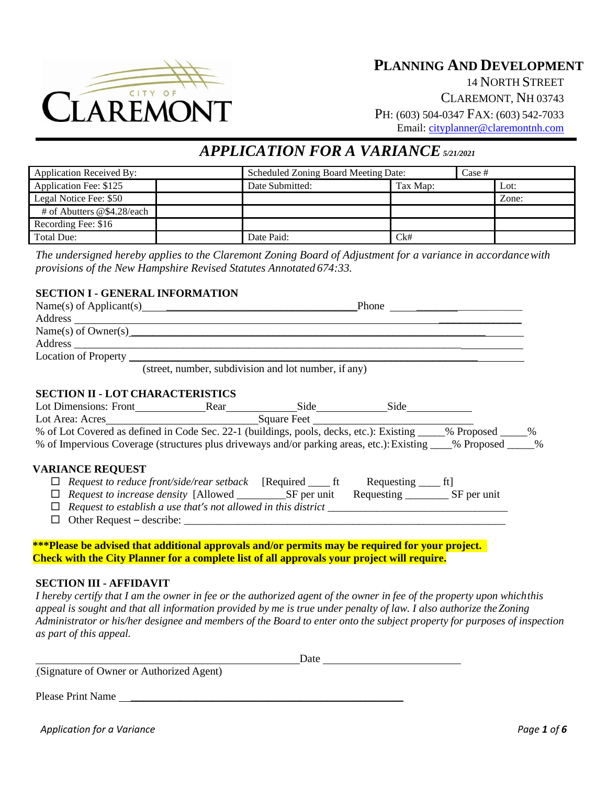

**PLANNING AND DEVELOPMENT** 14 NORTH STREET CLAREMONT, NH 03743 PH: (603) 504-0347 FAX: (603) 542-7033 Email: [cityplanner@claremontnh.com](mailto:cityplanner@claremontnh.com)

# *APPLICATION FOR A VARIANCE5/21/2021*

| <b>Application Received By:</b> |  | Scheduled Zoning Board Meeting Date: |          | Case # |       |
|---------------------------------|--|--------------------------------------|----------|--------|-------|
| Application Fee: \$125          |  | Date Submitted:                      | Tax Map: |        | Lot:  |
| Legal Notice Fee: \$50          |  |                                      |          |        | Zone: |
| # of Abutters @\$4.28/each      |  |                                      |          |        |       |
| Recording Fee: \$16             |  |                                      |          |        |       |
| Total Due:                      |  | Date Paid:                           | Ck#      |        |       |

*The undersigned hereby applies to the Claremont Zoning Board of Adjustment for a variance in accordancewith provisions of the New Hampshire Revised Statutes Annotated 674:33.*

# **SECTION I - GENERAL INFORMATION**

| Address and the contract of the contract of the contract of the contract of the contract of the contract of the contract of the contract of the contract of the contract of the contract of the contract of the contract of th |  |                                                                                                                       |  |
|--------------------------------------------------------------------------------------------------------------------------------------------------------------------------------------------------------------------------------|--|-----------------------------------------------------------------------------------------------------------------------|--|
| Name(s) of Owner(s)                                                                                                                                                                                                            |  |                                                                                                                       |  |
|                                                                                                                                                                                                                                |  | <u> 1989 - Johann John Stone, marking and de la provincia de la provincia de la provincia de la provincia de la p</u> |  |
|                                                                                                                                                                                                                                |  |                                                                                                                       |  |
| (street, number, subdivision and lot number, if any)                                                                                                                                                                           |  |                                                                                                                       |  |
| <b>SECTION II - LOT CHARACTERISTICS</b>                                                                                                                                                                                        |  |                                                                                                                       |  |
|                                                                                                                                                                                                                                |  |                                                                                                                       |  |
|                                                                                                                                                                                                                                |  |                                                                                                                       |  |
| Lot Area: Acres<br>% of Lot Covered as defined in Code Sec. 22-1 (buildings, pools, decks, etc.): Existing _____% Proposed _____%                                                                                              |  |                                                                                                                       |  |
| % of Impervious Coverage (structures plus driveways and/or parking areas, etc.): Existing 6 Proposed 6 March 20                                                                                                                |  |                                                                                                                       |  |
| <b>VARIANCE REQUEST</b>                                                                                                                                                                                                        |  |                                                                                                                       |  |
|                                                                                                                                                                                                                                |  |                                                                                                                       |  |
|                                                                                                                                                                                                                                |  |                                                                                                                       |  |
|                                                                                                                                                                                                                                |  |                                                                                                                       |  |
|                                                                                                                                                                                                                                |  |                                                                                                                       |  |
|                                                                                                                                                                                                                                |  |                                                                                                                       |  |
| ***Please be advised that additional approvals and/or permits may be required for your project.                                                                                                                                |  |                                                                                                                       |  |
| <b>Check with the City Planner for a complete list of all approvals your project will require.</b>                                                                                                                             |  |                                                                                                                       |  |

#### **SECTION III - AFFIDAVIT**

*I hereby certify that I am the owner in fee or the authorized agent of the owner in fee of the property upon whichthis appeal is sought and that all information provided by me is true under penalty of law. I also authorize theZoning*  Administrator or his/her designee and members of the Board to enter onto the subject property for purposes of inspection *as part of this appeal.*

|                                          | Date |  |
|------------------------------------------|------|--|
| (Signature of Owner or Authorized Agent) |      |  |
| <b>Please Print Name</b>                 |      |  |

*Application for a Variance Page 1 of 6*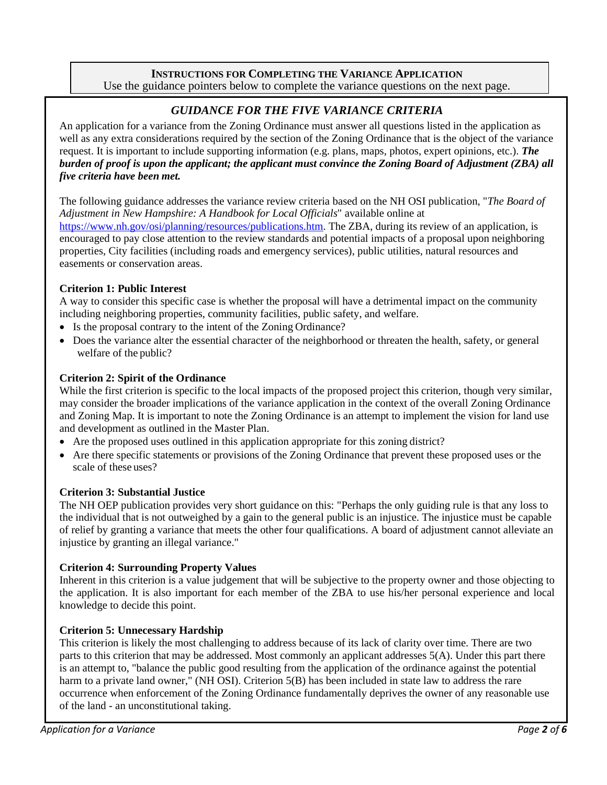## **INSTRUCTIONS FOR COMPLETING THE VARIANCE APPLICATION** Use the guidance pointers below to complete the variance questions on the next page.

# *GUIDANCE FOR THE FIVE VARIANCE CRITERIA*

An application for a variance from the Zoning Ordinance must answer all questions listed in the application as well as any extra considerations required by the section of the Zoning Ordinance that is the object of the variance request. It is important to include supporting information (e.g. plans, maps, photos, expert opinions, etc.). *The burden of proof is upon the applicant; the applicant must convince the Zoning Board of Adjustment (ZBA) all five criteria have been met.*

The following guidance addresses the variance review criteria based on the NH OSI publication, "*The Board of Adjustment in New Hampshire: A Handbook for Local Officials*" available online at [https://www.nh.gov/osi/planning/resources/publications.htm.](https://www.nh.gov/osi/planning/resources/publications.htm) The ZBA, during its review of an application, is encouraged to pay close attention to the review standards and potential impacts of a proposal upon neighboring properties, City facilities (including roads and emergency services), public utilities, natural resources and easements or conservation areas.

# **Criterion 1: Public Interest**

A way to consider this specific case is whether the proposal will have a detrimental impact on the community including neighboring properties, community facilities, public safety, and welfare.

- Is the proposal contrary to the intent of the Zoning Ordinance?
- Does the variance alter the essential character of the neighborhood or threaten the health, safety, or general welfare of the public?

## **Criterion 2: Spirit of the Ordinance**

While the first criterion is specific to the local impacts of the proposed project this criterion, though very similar, may consider the broader implications of the variance application in the context of the overall Zoning Ordinance and Zoning Map. It is important to note the Zoning Ordinance is an attempt to implement the vision for land use and development as outlined in the Master Plan.

- Are the proposed uses outlined in this application appropriate for this zoning district?
- Are there specific statements or provisions of the Zoning Ordinance that prevent these proposed uses or the scale of these uses?

# **Criterion 3: Substantial Justice**

The NH OEP publication provides very short guidance on this: "Perhaps the only guiding rule is that any loss to the individual that is not outweighed by a gain to the general public is an injustice. The injustice must be capable of relief by granting a variance that meets the other four qualifications. A board of adjustment cannot alleviate an injustice by granting an illegal variance."

#### **Criterion 4: Surrounding Property Values**

Inherent in this criterion is a value judgement that will be subjective to the property owner and those objecting to the application. It is also important for each member of the ZBA to use his/her personal experience and local knowledge to decide this point.

# **Criterion 5: Unnecessary Hardship**

This criterion is likely the most challenging to address because of its lack of clarity over time. There are two parts to this criterion that may be addressed. Most commonly an applicant addresses 5(A). Under this part there is an attempt to, "balance the public good resulting from the application of the ordinance against the potential harm to a private land owner," (NH OSI). Criterion 5(B) has been included in state law to address the rare occurrence when enforcement of the Zoning Ordinance fundamentally deprives the owner of any reasonable use of the land - an unconstitutional taking.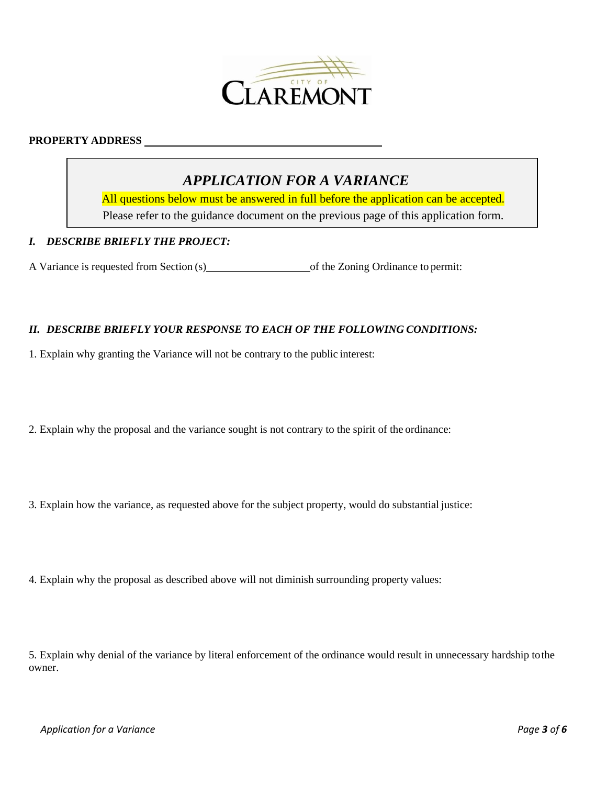

# **PROPERTY ADDRESS**

# *APPLICATION FOR A VARIANCE*

All questions below must be answered in full before the application can be accepted. Please refer to the guidance document on the previous page of this application form.

#### *I. DESCRIBE BRIEFLY THE PROJECT:*

A Variance is requested from Section (s) of the Zoning Ordinance to permit:

#### *II. DESCRIBE BRIEFLY YOUR RESPONSE TO EACH OF THE FOLLOWING CONDITIONS:*

1. Explain why granting the Variance will not be contrary to the public interest:

2. Explain why the proposal and the variance sought is not contrary to the spirit of the ordinance:

3. Explain how the variance, as requested above for the subject property, would do substantial justice:

4. Explain why the proposal as described above will not diminish surrounding property values:

5. Explain why denial of the variance by literal enforcement of the ordinance would result in unnecessary hardship tothe owner.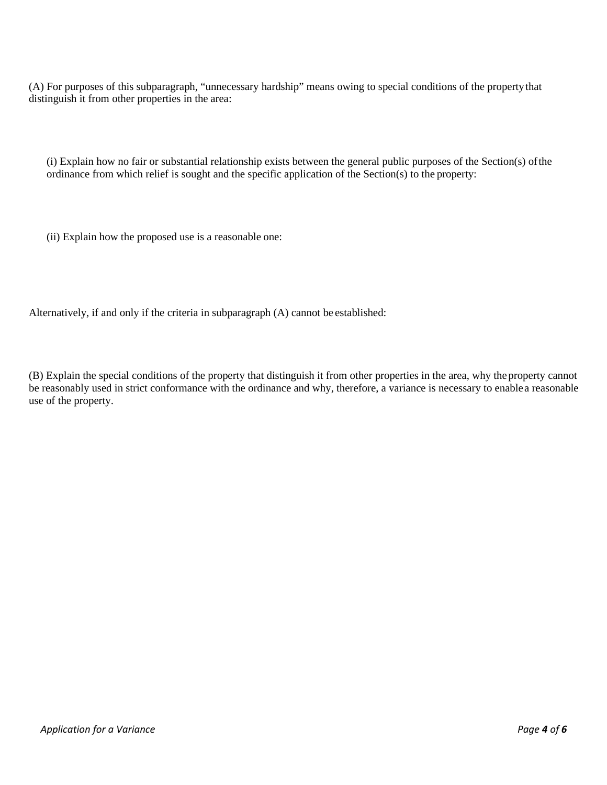(A) For purposes of this subparagraph, "unnecessary hardship" means owing to special conditions of the propertythat distinguish it from other properties in the area:

(i) Explain how no fair or substantial relationship exists between the general public purposes of the Section(s) ofthe ordinance from which relief is sought and the specific application of the Section(s) to the property:

(ii) Explain how the proposed use is a reasonable one:

Alternatively, if and only if the criteria in subparagraph (A) cannot be established:

(B) Explain the special conditions of the property that distinguish it from other properties in the area, why theproperty cannot be reasonably used in strict conformance with the ordinance and why, therefore, a variance is necessary to enablea reasonable use of the property.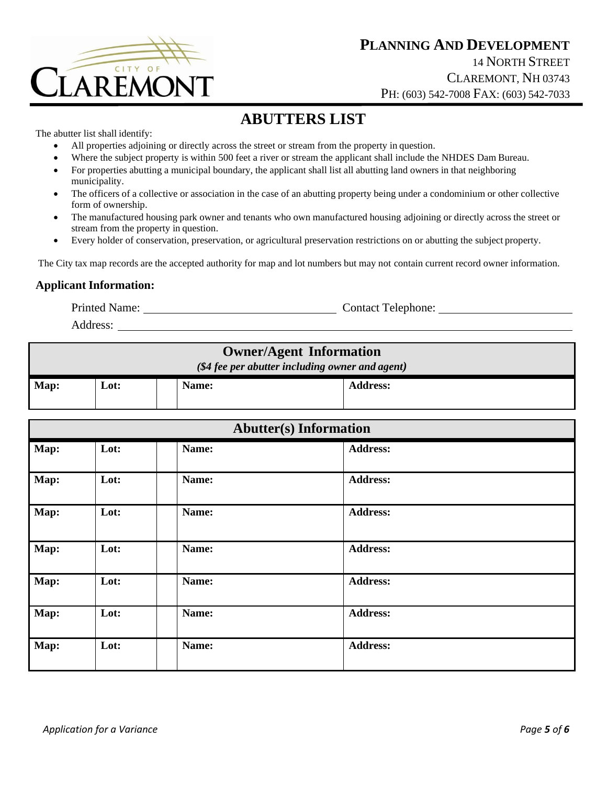

# **ABUTTERS LIST**

The abutter list shall identify:

- All properties adjoining or directly across the street or stream from the property in question.
- Where the subject property is within 500 feet a river or stream the applicant shall include the NHDES Dam Bureau.
- For properties abutting a municipal boundary, the applicant shall list all abutting land owners in that neighboring municipality.
- The officers of a collective or association in the case of an abutting property being under a condominium or other collective form of ownership.
- The manufactured housing park owner and tenants who own manufactured housing adjoining or directly across the street or stream from the property in question.
- Every holder of conservation, preservation, or agricultural preservation restrictions on or abutting the subject property.

The City tax map records are the accepted authority for map and lot numbers but may not contain current record owner information.

## **Applicant Information:**

Printed Name: Contact Telephone:

Address:

| <b>Owner/Agent Information</b><br>(\$4 fee per abutter including owner and agent) |      |  |       |                 |
|-----------------------------------------------------------------------------------|------|--|-------|-----------------|
| Map:                                                                              | Lot: |  | Name: | <b>Address:</b> |

| <b>Abutter(s)</b> Information |      |       |                 |
|-------------------------------|------|-------|-----------------|
| Map:                          | Lot: | Name: | <b>Address:</b> |
| Map:                          | Lot: | Name: | <b>Address:</b> |
| Map:                          | Lot: | Name: | <b>Address:</b> |
| Map:                          | Lot: | Name: | <b>Address:</b> |
| Map:                          | Lot: | Name: | <b>Address:</b> |
| Map:                          | Lot: | Name: | <b>Address:</b> |
| Map:                          | Lot: | Name: | <b>Address:</b> |